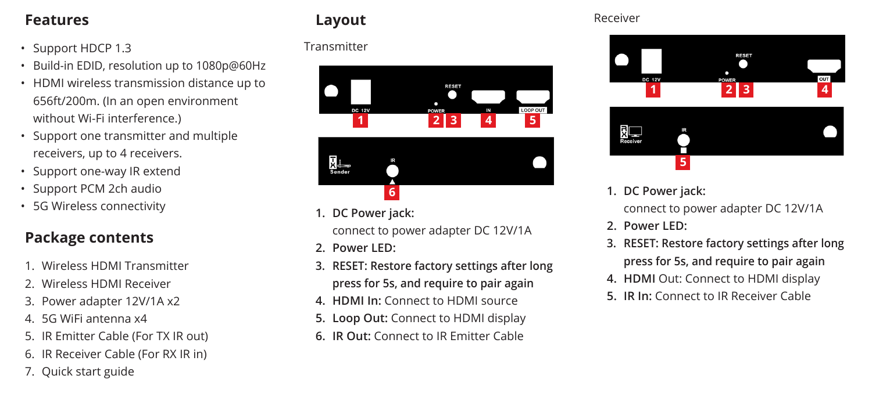#### **Features**

- Support HDCP 1.3
- Build-in EDID, resolution up to 1080p@60Hz
- HDMI wireless transmission distance up to 656ft/200m. (In an open environment without Wi-Fi interference.)
- Support one transmitter and multiple receivers, up to 4 receivers.
- Support one-way IR extend
- Support PCM 2ch audio
- 5G Wireless connectivity

#### **Package contents**

- 1. Wireless HDMI Transmitter
- 2. Wireless HDMI Receiver
- 3. Power adapter 12V/1A x2
- 4. 5G WiFi antenna x4
- 5. IR Emitter Cable (For TX IR out)
- 6. IR Receiver Cable (For RX IR in)
- 7. Quick start guide

#### **Layout**

#### **Transmitter**





**1. DC Power jack:**

connect to power adapter DC 12V/1A

- **2. Power LED:**
- **3. RESET: Restore factory settings after long press for 5s, and require to pair again**
- **4. HDMI In:** Connect to HDMI source
- **5. Loop Out:** Connect to HDMI display
- **6. IR Out:** Connect to IR Emitter Cable

#### Receiver



**1. DC Power jack:**

connect to power adapter DC 12V/1A

- **2. Power LED:**
- **3. RESET: Restore factory settings after long press for 5s, and require to pair again**
- **4. HDMI** Out: Connect to HDMI display
- **5. IR In:** Connect to IR Receiver Cable